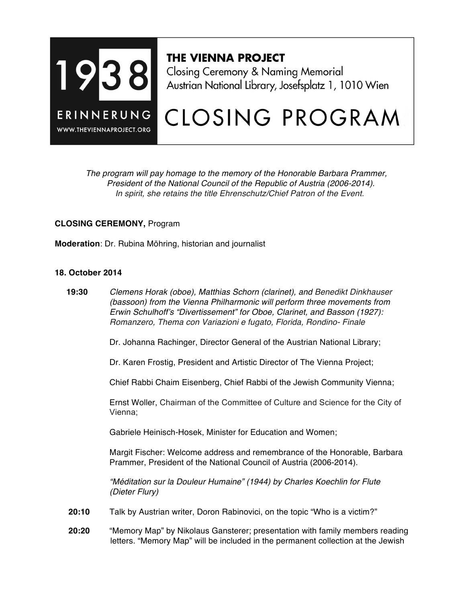

# **THE VIENNA PROJECT**

Closing Ceremony & Naming Memorial Austrian National Library, Josefsplatz 1, 1010 Wien

# CLOSING PROGRAM

 *The program will pay homage to the memory of the Honorable Barbara Prammer, President of the National Council of the Republic of Austria (2006-2014). In spirit, she retains the title Ehrenschutz/Chief Patron of the Event.*

## **CLOSING CEREMONY,** Program

**Moderation**: Dr. Rubina Möhring, historian and journalist

#### **18. October 2014**

 **19:30** *Clemens Horak (oboe), Matthias Schorn (clarinet), and Benedikt Dinkhauser (bassoon) from the Vienna Philharmonic will perform three movements from Erwin Schulhoff's "Divertissement" for Oboe, Clarinet, and Basson (1927): Romanzero, Thema con Variazioni e fugato, Florida, Rondino- Finale*

Dr. Johanna Rachinger, Director General of the Austrian National Library;

Dr. Karen Frostig, President and Artistic Director of The Vienna Project;

Chief Rabbi Chaim Eisenberg, Chief Rabbi of the Jewish Community Vienna;

Ernst Woller, Chairman of the Committee of Culture and Science for the City of Vienna;

Gabriele Heinisch-Hosek, Minister for Education and Women;

Margit Fischer: Welcome address and remembrance of the Honorable, Barbara Prammer, President of the National Council of Austria (2006-2014).

*"Méditation sur la Douleur Humaine" (1944) by Charles Koechlin for Flute (Dieter Flury)*

- **20:10** Talk by Austrian writer, Doron Rabinovici, on the topic "Who is a victim?"
- **20:20** "Memory Map" by Nikolaus Gansterer; presentation with family members reading letters. "Memory Map" will be included in the permanent collection at the Jewish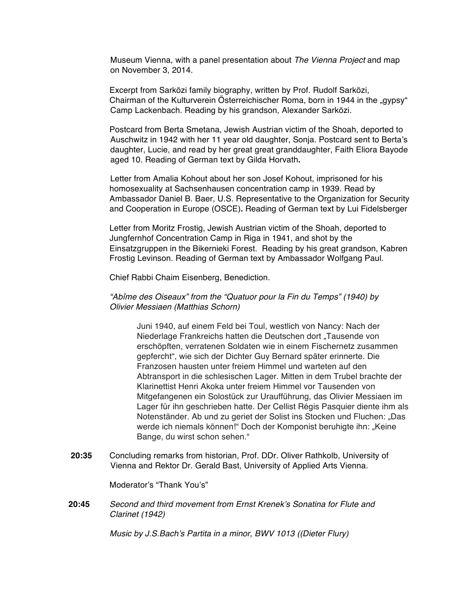Museum Vienna, with a panel presentation about *The Vienna Project* and map on November 3, 2014.

Excerpt from Sarközi family biography, written by Prof. Rudolf Sarközi, Chairman of the Kulturverein Österreichischer Roma, born in 1944 in the "gypsy" Camp Lackenbach. Reading by his grandson, Alexander Sarközi.

Postcard from Berta Smetana, Jewish Austrian victim of the Shoah, deported to Auschwitz in 1942 with her 11 year old daughter, Sonja. Postcard sent to Berta's daughter, Lucie, and read by her great great granddaughter, Faith Eliora Bayode aged 10. Reading of German text by Gilda Horvath**.**

Letter from Amalia Kohout about her son Josef Kohout, imprisoned for his homosexuality at Sachsenhausen concentration camp in 1939. Read by Ambassador Daniel B. Baer, U.S. Representative to the Organization for Security and Cooperation in Europe (OSCE)**.** Reading of German text by Lui Fidelsberger

Letter from Moritz Frostig, Jewish Austrian victim of the Shoah, deported to Jungfernhof Concentration Camp in Riga in 1941, and shot by the Einsatzgruppen in the Bikernieki Forest. Reading by his great grandson, Kabren Frostig Levinson. Reading of German text by Ambassador Wolfgang Paul.

Chief Rabbi Chaim Eisenberg, Benediction.

#### *"Abîme des Oiseaux" from the "Quatuor pour la Fin du Temps" (1940) by Olivier Messiaen (Matthias Schorn)*

Juni 1940, auf einem Feld bei Toul, westlich von Nancy: Nach der Niederlage Frankreichs hatten die Deutschen dort "Tausende von erschöpften, verratenen Soldaten wie in einem Fischernetz zusammen gepfercht", wie sich der Dichter Guy Bernard später erinnerte. Die Franzosen hausten unter freiem Himmel und warteten auf den Abtransport in die schlesischen Lager. Mitten in dem Trubel brachte der Klarinettist Henri Akoka unter freiem Himmel vor Tausenden von Mitgefangenen ein Solostück zur Uraufführung, das Olivier Messiaen im Lager für ihn geschrieben hatte. Der Cellist Régis Pasquier diente ihm als Notenständer. Ab und zu geriet der Solist ins Stocken und Fluchen: "Das werde ich niemals können!" Doch der Komponist beruhigte ihn: "Keine Bange, du wirst schon sehen."

**20:35** Concluding remarks from historian, Prof. DDr. Oliver Rathkolb, University of Vienna and Rektor Dr. Gerald Bast, University of Applied Arts Vienna.

Moderator's "Thank You's"

**20:45** *Second and third movement from Ernst Krenek's Sonatina for Flute and Clarinet (1942)*

*Music by J.S.Bach's Partita in a minor, BWV 1013 ((Dieter Flury)*